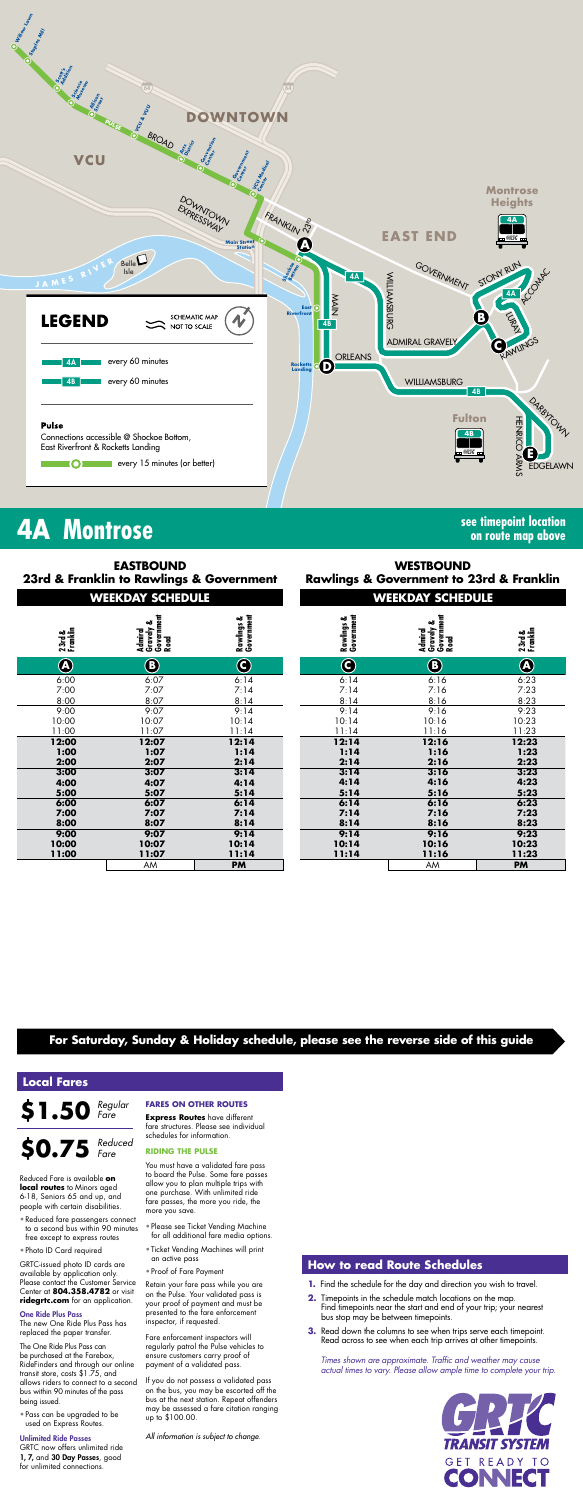

### **For Saturday, Sunday & Holiday schedule, please see the reverse side of this guide**

*Times shown are approximate. Traffic and weather may cause actual times to vary. Please allow ample time to complete your trip.*



# **4A Montrose see timepoint location**

**on route map above**

### **WEEKDAY SCHEDULE WEEKDAY SCHEDULE WESTBOUND Rawlings & Government to 23rd & Franklin**

| . | ------ | . | ------- | -------- | ------         |
|---|--------|---|---------|----------|----------------|
|   | AM     |   |         | AM       | DI.<br><b></b> |

### **How to read Route Schedules**

- **1.** Find the schedule for the day and direction you wish to travel.
- **2.** Timepoints in the schedule match locations on the map. Find timepoints near the start and end of your trip; your nearest bus stop may be between timepoints.
- **3.** Read down the columns to see when trips serve each timepoint. Read across to see when each trip arrives at other timepoints.

### **Local Fares**

**\$1.50** *Regular Fare*

Reduced Fare is available **on local routes** to Minors aged 6-18, Seniors 65 and up, and people with certain disabilities.

- Reduced fare passengers connect to a second bus within 90 minutes free except to express routes
- Photo ID Card required

GRTC-issued photo ID cards are available by application only. Please contact the Customer Service Center at **804.358.4782** or visit **ridegrtc.com** for an application.

#### One Ride Plus Pass

**\$0.75** *Reduced* 

The new One Ride Plus Pass has replaced the paper transfer.

The One Ride Plus Pass can be purchased at the Farebox, RideFinders and through our online transit store, costs \$1.75, and allows riders to connect to a second bus within 90 minutes of the pass being issued.

• Pass can be upgraded to be used on Express Routes.

| 23rd &<br>Franklin       | Government<br>Gravely &<br>Admiral<br>Road | Rawlings &<br>Government | Rawlings &<br>Government | Gravely &<br>Government<br>Road<br>Admiral | 23rd &<br>Franklin |
|--------------------------|--------------------------------------------|--------------------------|--------------------------|--------------------------------------------|--------------------|
| $\overline{\circledast}$ | B)                                         | C                        | C                        | $\left(\mathbf{B}\right)$                  | $\bigcirc$         |
| 5:00                     | 6:07                                       | 6:14                     | 6:14                     | 6:16                                       | 6:23               |
| 7:00                     | 7:07                                       | 7:14                     | 7:14                     | 7:16                                       | 7:23               |
| 3:00                     | 8:07                                       | 8:14                     | 8:14                     | 8:16                                       | 8:23               |
| 9:00                     | 9:07                                       | 9:14                     | 9:14                     | 9:16                                       | 9:23               |
| 0:00                     | 10:07                                      | 10:14                    | 10:14                    | 10:16                                      | 10:23              |
| 1:00                     | 11:07                                      | 11:14                    | 11:14                    | 11:16                                      | 11:23              |
| 2:00                     | 12:07                                      | 12:14                    | 12:14                    | 12:16                                      | 12:23              |
| :00                      | 1:07                                       | 1:14                     | 1:14                     | 1:16                                       | 1:23               |
| 2:00                     | 2:07                                       | 2:14                     | 2:14                     | 2:16                                       | 2:23               |
| 3:00                     | 3:07                                       | 3:14                     | 3:14                     | 3:16                                       | 3:23               |
| 1:00                     | 4:07                                       | 4:14                     | 4:14                     | 4:16                                       | 4:23               |
| 5:00                     | 5:07                                       | 5:14                     | 5:14                     | 5:16                                       | 5:23               |
| 5:00                     | 6:07                                       | 6:14                     | 6:14                     | 6:16                                       | 6:23               |
| 7:00                     | 7:07                                       | 7:14                     | 7:14                     | 7:16                                       | 7:23               |
| 3:00                     | 8:07                                       | 8:14                     | 8:14                     | 8:16                                       | 8:23               |
| 9:00                     | 9:07                                       | 9:14                     | 9:14                     | 9:16                                       | 9:23               |
| 0:00                     | 10:07                                      | 10:14                    | 10:14                    | 10:16                                      | 10:23              |
| :00                      | 11:07                                      | 11:14                    | 11:14                    | 11:16                                      | 11:23              |

#### Unlimited Ride Passes

GRTC now offers unlimited ride 1, 7, and 30 Day Passes, good for unlimited connections.

| <b>EASTBOUND</b><br>23rd & Franklin to Rawlings & Government<br><b>WEEKDAY SCHEDULE</b> |                                            |                          |  |  |
|-----------------------------------------------------------------------------------------|--------------------------------------------|--------------------------|--|--|
| 23rd &<br>Franklin                                                                      | Admiral<br>Gravely &<br>Government<br>Road | Rawlings &<br>Government |  |  |
| $\widehat{\textbf{A}}$                                                                  | $\mathbf{B}$                               | C                        |  |  |
| 6:00                                                                                    | 6:07                                       | 6:14                     |  |  |
| 7:00                                                                                    | 7:07                                       | 7:14                     |  |  |
| 8:00                                                                                    | 8:07                                       | 8:14                     |  |  |
| 9:00                                                                                    | 9:07                                       | 9:14                     |  |  |
| 10:00                                                                                   | 10:07                                      | 10:14                    |  |  |
| 11:00                                                                                   | 11:07                                      | 11:14                    |  |  |
| 12:00                                                                                   | 12:07                                      | 12:14                    |  |  |
| 1:00                                                                                    | 1:07                                       | 1:14                     |  |  |
| 2:00                                                                                    | 2:07                                       | 2:14                     |  |  |
| 3:00                                                                                    | 3:07                                       | 3:14                     |  |  |
| 4:00                                                                                    | 4:07                                       | 4:14                     |  |  |
| 5:00                                                                                    | 5:07                                       | 5:14                     |  |  |
| 6:00                                                                                    | 6:07                                       | 6:14                     |  |  |
| 7:00                                                                                    | 7:07                                       | 7:14                     |  |  |
| 8:00                                                                                    | 8:07                                       | 8:14                     |  |  |
| 9:00                                                                                    | 9:07                                       | 9:14                     |  |  |
| 10:00                                                                                   | 10:07                                      | 10:14                    |  |  |
| 11:00                                                                                   | 11:07                                      | 11:14                    |  |  |

*Fare*

### **FARES ON OTHER ROUTES**

**Express Routes** have different fare structures. Please see individual schedules for information.

#### **RIDING THE PULSE**

You must have a validated fare pass to board the Pulse. Some fare passes allow you to plan multiple trips with one purchase. With unlimited ride fare passes, the more you ride, the more you save.

- Please see Ticket Vending Machine for all additional fare media options.
- Ticket Vending Machines will print an active pass
- Proof of Fare Payment

Retain your fare pass while you are on the Pulse. Your validated pass is your proof of payment and must be presented to the fare enforcement inspector, if requested.

Fare enforcement inspectors will regularly patrol the Pulse vehicles to ensure customers carry proof of payment of a validated pass.

If you do not possess a validated pass on the bus, you may be escorted off the bus at the next station. Repeat offenders may be assessed a fare citation ranging up to \$100.00.

*All information is subject to change.*